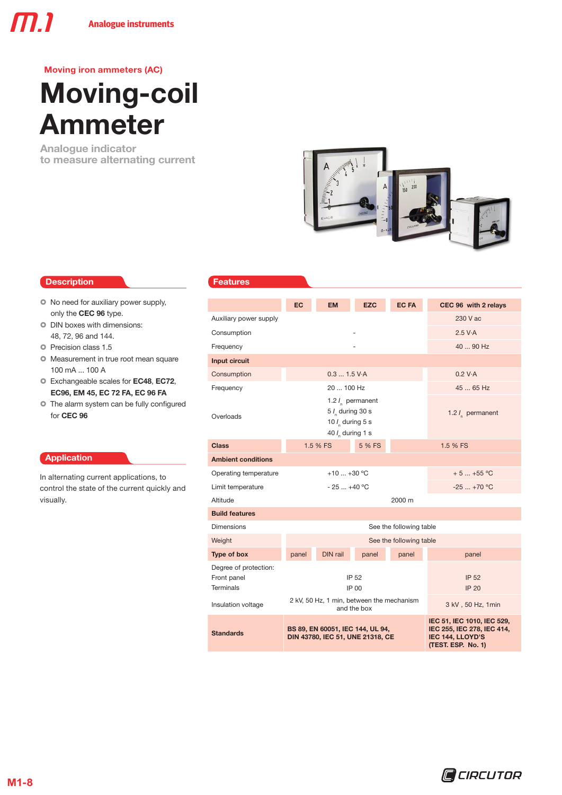# Moving-coil Ammeter

Analogue indicator to measure alternating current



### Description **Description**

- $\bullet$  No need for auxiliary power supply, only the CEC 96 type.
- $\circ$  DIN boxes with dimensions: 48, 72, 96 and 144.
- **O** Precision class 1.5
- $\circ$  Measurement in true root mean square 100 mA ... 100 A
- $\circ$  Exchangeable scales for EC48, EC72, EC96, EM 45, EC 72 FA, EC 96 FA
- $\bullet$  The alarm system can be fully configured for CEC 96

### Application

In alternating current applications, to control the state of the current quickly and visually.

|                                                   | EC                                                                                      | <b>EM</b>                                                            | <b>EZC</b>            | <b>EC FA</b>            | CEC 96 with 2 relays                                                                                      |  |  |  |
|---------------------------------------------------|-----------------------------------------------------------------------------------------|----------------------------------------------------------------------|-----------------------|-------------------------|-----------------------------------------------------------------------------------------------------------|--|--|--|
| Auxiliary power supply                            |                                                                                         |                                                                      |                       |                         | 230 V ac                                                                                                  |  |  |  |
| Consumption                                       |                                                                                         |                                                                      |                       |                         | 2.5 V·A                                                                                                   |  |  |  |
| Frequency                                         |                                                                                         |                                                                      |                       |                         | 40  90 Hz                                                                                                 |  |  |  |
| Input circuit                                     |                                                                                         |                                                                      |                       |                         |                                                                                                           |  |  |  |
| Consumption                                       |                                                                                         | 0.31.5 V·A                                                           |                       |                         | 0.2 V·A                                                                                                   |  |  |  |
| Frequency                                         |                                                                                         | 20  100 Hz                                                           |                       |                         | 45  65 Hz                                                                                                 |  |  |  |
| Overloads                                         |                                                                                         | 5 / during 30 s<br>10 $l_{\rm s}$ during 5 s<br>40 $I_n$ during 1 s  | 1.2 $l_{n}$ permanent |                         | 1.2 $I_n$ permanent                                                                                       |  |  |  |
| <b>Class</b>                                      |                                                                                         | 1.5 % FS                                                             | 5 % FS                |                         | 1.5 % FS                                                                                                  |  |  |  |
| <b>Ambient conditions</b>                         |                                                                                         |                                                                      |                       |                         |                                                                                                           |  |  |  |
| Operating temperature                             |                                                                                         | $+10+30 °C$                                                          |                       |                         | $+5+55$ °C                                                                                                |  |  |  |
| Limit temperature                                 |                                                                                         | $-25+40 °C$                                                          |                       |                         | $-25$ +70 °C                                                                                              |  |  |  |
| Altitude                                          |                                                                                         |                                                                      |                       | 2000 m                  |                                                                                                           |  |  |  |
| <b>Build features</b>                             |                                                                                         |                                                                      |                       |                         |                                                                                                           |  |  |  |
| <b>Dimensions</b>                                 |                                                                                         |                                                                      |                       | See the following table |                                                                                                           |  |  |  |
| Weight                                            |                                                                                         |                                                                      |                       | See the following table |                                                                                                           |  |  |  |
| Type of box                                       | panel                                                                                   | DIN rail                                                             | panel                 | panel                   | panel                                                                                                     |  |  |  |
| Degree of protection:<br>Front panel<br>Terminals |                                                                                         |                                                                      | IP 52                 |                         | <b>IP 52</b><br><b>IP 20</b>                                                                              |  |  |  |
| Insulation voltage                                | IP 00<br>2 kV, 50 Hz, 1 min, between the mechanism<br>3 kV, 50 Hz, 1 min<br>and the box |                                                                      |                       |                         |                                                                                                           |  |  |  |
| <b>Standards</b>                                  |                                                                                         | BS 89, EN 60051, IEC 144, UL 94,<br>DIN 43780, IEC 51, UNE 21318, CE |                       |                         | IEC 51, IEC 1010, IEC 529,<br>IEC 255, IEC 278, IEC 414,<br><b>IEC 144, LLOYD'S</b><br>(TEST. ESP. No. 1) |  |  |  |
|                                                   |                                                                                         |                                                                      |                       |                         |                                                                                                           |  |  |  |

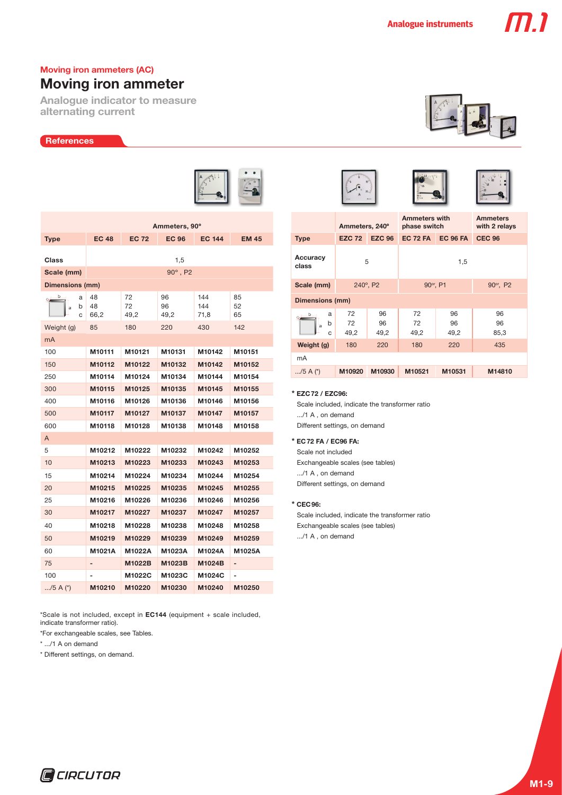## Moving iron ammeter

Analogue indicator to measure alternating current

### **References**



|                       | Ammeters, 90°    |                  |                  |                    |                |  |  |  |  |  |
|-----------------------|------------------|------------------|------------------|--------------------|----------------|--|--|--|--|--|
| <b>Type</b>           | <b>EC 48</b>     | <b>EC 72</b>     | <b>EC 96</b>     | <b>EC 144</b>      | <b>EM 45</b>   |  |  |  |  |  |
|                       |                  |                  |                  |                    |                |  |  |  |  |  |
| Class                 | 1,5              |                  |                  |                    |                |  |  |  |  |  |
| Scale (mm)            |                  |                  | $90^\circ$ , P2  |                    |                |  |  |  |  |  |
| Dimensions (mm)       |                  |                  |                  |                    |                |  |  |  |  |  |
| b<br>a<br>b<br>a<br>C | 48<br>48<br>66,2 | 72<br>72<br>49,2 | 96<br>96<br>49,2 | 144<br>144<br>71,8 | 85<br>52<br>65 |  |  |  |  |  |
| Weight (g)            | 85               | 180              | 220              | 430                | 142            |  |  |  |  |  |
| mA                    |                  |                  |                  |                    |                |  |  |  |  |  |
| 100                   | M10111           | M10121           | M10131           | M10142             | M10151         |  |  |  |  |  |
| 150                   | M10112           | M10122           | M10132           | M10142             | M10152         |  |  |  |  |  |
| 250                   | M10114           | M10124           | M10134           | M10144             | M10154         |  |  |  |  |  |
| 300                   | M10115           | M10125           | M10135           | M10145             | M10155         |  |  |  |  |  |
| 400                   | M10116           | M10126           | M10136           | M10146             | M10156         |  |  |  |  |  |
| 500                   | M10117           | M10127           | M10137           | M10147             | M10157         |  |  |  |  |  |
| 600                   | M10118           | M10128           | M10138           | M10148             | M10158         |  |  |  |  |  |
| A                     |                  |                  |                  |                    |                |  |  |  |  |  |
| 5                     | M10212           | M10222           | M10232           | M10242             | M10252         |  |  |  |  |  |
| 10                    | M10213           | M10223           | M10233           | M10243             | M10253         |  |  |  |  |  |
| 15                    | M10214           | M10224           | M10234           | M10244             | M10254         |  |  |  |  |  |
| 20                    | M10215           | M10225           | M10235           | M10245             | M10255         |  |  |  |  |  |
| 25                    | M10216           | M10226           | M10236           | M10246             | M10256         |  |  |  |  |  |
| 30                    | M10217           | M10227           | M10237           | M10247             | M10257         |  |  |  |  |  |
| 40                    | M10218           | M10228           | M10238           | M10248             | M10258         |  |  |  |  |  |
| 50                    | M10219           | M10229           | M10239           | M10249             | M10259         |  |  |  |  |  |
| 60                    | M1021A           | M1022A           | M1023A           | M1024A             | M1025A         |  |  |  |  |  |
| 75                    |                  | M1022B           | M1023B           | M1024B             |                |  |  |  |  |  |
| 100                   |                  | M1022C           | M1023C           | M1024C             | -              |  |  |  |  |  |
| /5 A $(*)$            | M10210           | M10220           | M10230           | M10240             | M10250         |  |  |  |  |  |

\*Scale is not included, except in EC144 (equipment + scale included, indicate transformer ratio).

\*For exchangeable scales, see Tables.

\* .../1 A on demand

\* Different settings, on demand.



77 T



|                   | Ammeters, 240°   |                                                          | <b>Ammeters with</b><br>phase switch |                  | <b>Ammeters</b><br>with 2 relays  |  |  |  |  |  |  |
|-------------------|------------------|----------------------------------------------------------|--------------------------------------|------------------|-----------------------------------|--|--|--|--|--|--|
| <b>Type</b>       | <b>EZC 72</b>    | <b>EZC 96</b>                                            | <b>EC 72 FA</b>                      | <b>EC 96 FA</b>  | <b>CEC 96</b>                     |  |  |  |  |  |  |
| Accuracy<br>class | 5                |                                                          | 1,5                                  |                  |                                   |  |  |  |  |  |  |
| Scale (mm)        | 240°, P2         |                                                          | 90° <sup>r</sup> , P1                |                  | 90° <sup>r</sup> , P <sub>2</sub> |  |  |  |  |  |  |
| Dimensions (mm)   |                  |                                                          |                                      |                  |                                   |  |  |  |  |  |  |
| a<br>b<br>a<br>C  | 72<br>72<br>49,2 | 96<br>72<br>96<br>72<br>96<br>96<br>49,2<br>49,2<br>49,2 |                                      | 96<br>96<br>85,3 |                                   |  |  |  |  |  |  |
| Weight (g)        | 180<br>220       |                                                          | 180                                  | 220              | 435                               |  |  |  |  |  |  |
| mA                |                  |                                                          |                                      |                  |                                   |  |  |  |  |  |  |
| /5 A $(*)$        | M10920           | M10930                                                   | M10521                               | M10531           | M14810                            |  |  |  |  |  |  |

### \* EZC72 / EZC96:

Scale included, indicate the transformer ratio .../1 A , on demand Different settings, on demand

### \* EC72 FA / EC96 FA:

Scale not included Exchangeable scales (see tables) .../1 A , on demand Different settings, on demand

### \* CEC96:

Scale included, indicate the transformer ratio Exchangeable scales (see tables) .../1 A , on demand

**Q**CIRCUTOR

# **M1-9**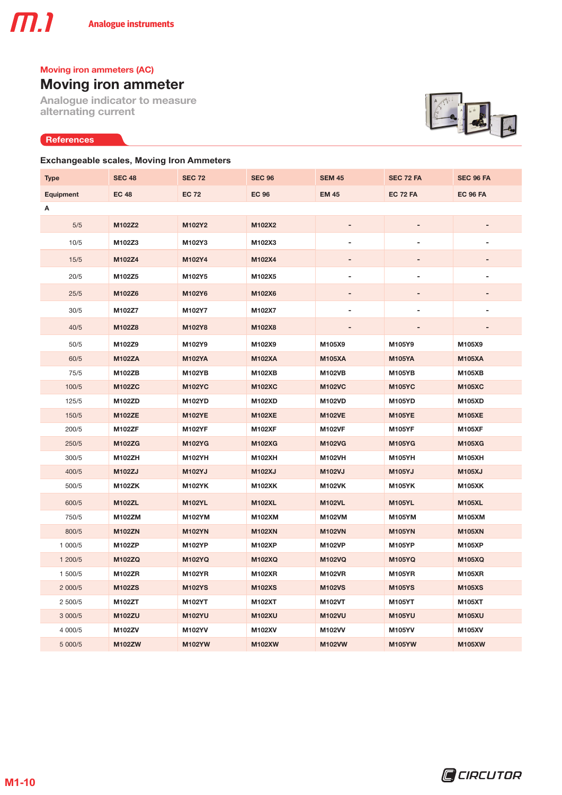# Moving iron ammeter

Analogue indicator to measure alternating current

### **References**

# E

### **Exchangeable scales, Moving Iron Ammeters**

| <b>Type</b>      | <b>SEC 48</b> | <b>SEC 72</b> | <b>SEC 96</b> | <b>SEM 45</b>  | SEC 72 FA       | SEC 96 FA       |
|------------------|---------------|---------------|---------------|----------------|-----------------|-----------------|
| <b>Equipment</b> | <b>EC 48</b>  | <b>EC 72</b>  | <b>EC 96</b>  | <b>EM 45</b>   | <b>EC 72 FA</b> | <b>EC 96 FA</b> |
| Α                |               |               |               |                |                 |                 |
| 5/5              | M102Z2        | M102Y2        | M102X2        |                |                 |                 |
| 10/5             | M102Z3        | M102Y3        | M102X3        |                | -               | ٠               |
| 15/5             | M102Z4        | M102Y4        | M102X4        |                |                 |                 |
| 20/5             | M102Z5        | M102Y5        | M102X5        | $\overline{a}$ | -               | $\overline{a}$  |
| 25/5             | M102Z6        | M102Y6        | M102X6        |                | -               | ٠               |
| 30/5             | M102Z7        | M102Y7        | M102X7        |                |                 | $\overline{a}$  |
| 40/5             | M102Z8        | M102Y8        | M102X8        |                | -               |                 |
| 50/5             | M102Z9        | M102Y9        | M102X9        | M105X9         | M105Y9          | M105X9          |
| 60/5             | <b>M102ZA</b> | <b>M102YA</b> | <b>M102XA</b> | <b>M105XA</b>  | <b>M105YA</b>   | <b>M105XA</b>   |
| 75/5             | M102ZB        | <b>M102YB</b> | <b>M102XB</b> | <b>M102VB</b>  | <b>M105YB</b>   | <b>M105XB</b>   |
| 100/5            | <b>M102ZC</b> | <b>M102YC</b> | <b>M102XC</b> | <b>M102VC</b>  | <b>M105YC</b>   | <b>M105XC</b>   |
| 125/5            | M102ZD        | M102YD        | <b>M102XD</b> | <b>M102VD</b>  | <b>M105YD</b>   | <b>M105XD</b>   |
| 150/5            | <b>M102ZE</b> | <b>M102YE</b> | <b>M102XE</b> | <b>M102VE</b>  | <b>M105YE</b>   | <b>M105XE</b>   |
| 200/5            | <b>M102ZF</b> | <b>M102YF</b> | <b>M102XF</b> | <b>M102VF</b>  | <b>M105YF</b>   | <b>M105XF</b>   |
| 250/5            | M102ZG        | <b>M102YG</b> | <b>M102XG</b> | <b>M102VG</b>  | <b>M105YG</b>   | <b>M105XG</b>   |
| 300/5            | <b>M102ZH</b> | M102YH        | M102XH        | M102VH         | M105YH          | <b>M105XH</b>   |
| 400/5            | M102ZJ        | <b>M102YJ</b> | <b>M102XJ</b> | <b>M102VJ</b>  | <b>M105YJ</b>   | <b>M105XJ</b>   |
| 500/5            | M102ZK        | <b>M102YK</b> | <b>M102XK</b> | <b>M102VK</b>  | <b>M105YK</b>   | <b>M105XK</b>   |
| 600/5            | <b>M102ZL</b> | <b>M102YL</b> | <b>M102XL</b> | <b>M102VL</b>  | <b>M105YL</b>   | <b>M105XL</b>   |
| 750/5            | M102ZM        | M102YM        | M102XM        | M102VM         | M105YM          | M105XM          |
| 800/5            | <b>M102ZN</b> | <b>M102YN</b> | <b>M102XN</b> | <b>M102VN</b>  | <b>M105YN</b>   | <b>M105XN</b>   |
| 1 000/5          | <b>M102ZP</b> | M102YP        | M102XP        | <b>M102VP</b>  | M105YP          | <b>M105XP</b>   |
| 1 200/5          | <b>M102ZQ</b> | <b>M102YQ</b> | <b>M102XQ</b> | <b>M102VQ</b>  | <b>M105YQ</b>   | <b>M105XQ</b>   |
| 1 500/5          | M102ZR        | M102YR        | <b>M102XR</b> | <b>M102VR</b>  | <b>M105YR</b>   | <b>M105XR</b>   |
| 2 000/5          | <b>M102ZS</b> | <b>M102YS</b> | <b>M102XS</b> | <b>M102VS</b>  | <b>M105YS</b>   | <b>M105XS</b>   |
| 2 500/5          | M102ZT        | M102YT        | M102XT        | M102VT         | M105YT          | M105XT          |
| 3 000/5          | <b>M102ZU</b> | <b>M102YU</b> | <b>M102XU</b> | <b>M102VU</b>  | <b>M105YU</b>   | <b>M105XU</b>   |
| 4 000/5          | M102ZV        | M102YV        | M102XV        | M102VV         | <b>M105YV</b>   | M105XV          |
| 5 000/5          | <b>M102ZW</b> | <b>M102YW</b> | <b>M102XW</b> | M102VW         | <b>M105YW</b>   | <b>M105XW</b>   |

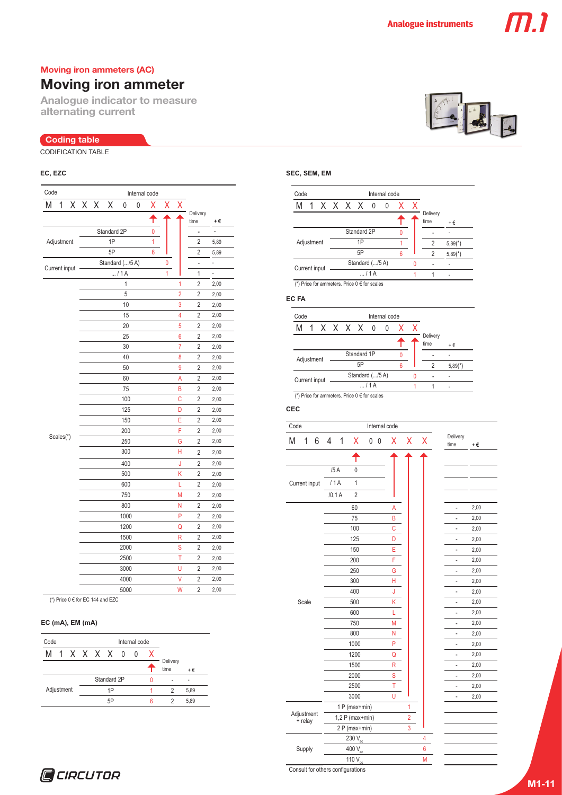# Moving iron ammeter

Analogue indicator to measure alternating current

### Coding table

CODIFICATION TABLE

| Code       |               |  |       | Internal code |                 |              |   |   |   |                |                  |      |
|------------|---------------|--|-------|---------------|-----------------|--------------|---|---|---|----------------|------------------|------|
| Μ          | 1             |  | X X X |               | Χ               | 0            | 0 | Х | Χ |                |                  |      |
|            |               |  |       |               |                 |              |   | т |   |                | Delivery<br>time | +€   |
|            |               |  |       |               | Standard 2P     |              |   | 0 |   |                | -                |      |
| Adjustment |               |  |       |               | 1P              |              |   | 1 |   |                | $\overline{2}$   | 5,89 |
|            |               |  |       | 5P            |                 |              | 6 |   |   | 2              | 5,89             |      |
|            |               |  |       |               | Standard (/5 A) |              |   |   | 0 |                | $\overline{a}$   | ÷,   |
|            | Current input |  |       |               |                 | / 1A         |   |   | 1 |                | 1                | ÷,   |
|            |               |  |       |               |                 | $\mathbf{1}$ |   |   |   | 1              | $\overline{2}$   | 2,00 |
|            |               |  |       |               |                 | 5            |   |   |   | $\overline{2}$ | 2                | 2,00 |
|            |               |  |       |               |                 | 10           |   |   |   | 3              | $\overline{2}$   | 2,00 |
|            |               |  |       |               |                 | 15           |   |   |   | 4              | 2                | 2,00 |
|            |               |  |       |               |                 | 20           |   |   |   | 5              | 2                | 2,00 |
|            |               |  |       |               |                 | 25           |   |   |   | 6              | 2                | 2,00 |
|            |               |  |       |               |                 | 30           |   |   |   | $\overline{7}$ | $\overline{2}$   | 2,00 |
|            |               |  |       |               |                 | 40           |   |   |   | 8              | 2                | 2,00 |
|            |               |  |       |               |                 | 50           |   |   |   | 9              | $\overline{2}$   | 2,00 |
|            |               |  |       |               |                 | 60           |   |   |   | A              | $\overline{2}$   | 2,00 |
|            |               |  |       |               |                 | 75           |   |   |   | B              | $\overline{2}$   | 2,00 |
|            |               |  |       |               |                 | 100          |   |   |   | $\mathbf C$    | $\overline{c}$   | 2,00 |
|            |               |  |       |               |                 | 125          |   |   |   | D              | $\overline{2}$   | 2,00 |
|            |               |  |       |               |                 | 150          |   |   |   | E              | $\overline{2}$   | 2,00 |
|            |               |  |       |               |                 | 200          |   |   |   | F              | $\overline{2}$   | 2,00 |
|            | Scales(*)     |  |       |               |                 | 250          |   |   |   | G              | $\overline{2}$   | 2,00 |
|            |               |  |       |               |                 | 300          |   |   |   | Н              | 2                | 2,00 |
|            |               |  |       |               |                 | 400          |   |   |   | J              | 2                | 2,00 |
|            |               |  |       |               |                 | 500          |   |   |   | K              | $\overline{2}$   | 2,00 |
|            |               |  |       |               |                 | 600          |   |   |   | L              | 2                | 2,00 |
|            |               |  |       |               |                 | 750          |   |   |   | M              | 2                | 2,00 |
|            |               |  |       |               |                 | 800          |   |   |   | Ν              | $\overline{2}$   | 2,00 |
|            |               |  |       |               |                 | 1000         |   |   |   | P              | 2                | 2,00 |
|            |               |  |       |               |                 | 1200         |   |   |   | Q              | 2                | 2,00 |
|            |               |  |       |               |                 | 1500         |   |   |   | R              | $\overline{2}$   | 2,00 |
|            |               |  |       |               |                 | 2000         |   |   |   | S              | 2                | 2,00 |
|            |               |  |       |               |                 | 2500         |   |   |   | Ť              | $\overline{2}$   | 2,00 |
|            |               |  |       |               |                 | 3000         |   |   |   | Ù              | $\overline{2}$   | 2,00 |
|            |               |  |       |               |                 | 4000         |   |   |   | V              | $\overline{2}$   | 2,00 |
|            |               |  |       |               |                 | 5000         |   |   |   | W              | $\overline{2}$   | 2,00 |

(\*) Price  $0 \in$  for EC 144 and EZC

### **EC (mA), EM (mA)**

| Code<br>Internal code |  |  |  |    |   |                            |      |      |           |
|-----------------------|--|--|--|----|---|----------------------------|------|------|-----------|
|                       |  |  |  |    |   | 0                          |      |      |           |
|                       |  |  |  |    |   |                            |      | time | $+$ $\in$ |
|                       |  |  |  |    |   |                            |      | ۰    |           |
| Adjustment<br>1Р      |  |  |  |    |   |                            |      | 2    | 5.89      |
|                       |  |  |  | 5P | ค | 2                          | 5.89 |      |           |
|                       |  |  |  |    |   | 1 X X X X 0<br>Standard 2P |      |      | Delivery  |

### **EC, EZC SEC, SEM, EM**



**EC FA**

| Code<br>Internal code |                                                      |  |  |                 |             |               |  |              |   |          |                       |
|-----------------------|------------------------------------------------------|--|--|-----------------|-------------|---------------|--|--------------|---|----------|-----------------------|
| M                     |                                                      |  |  |                 |             | 1 X X X X 0 0 |  | $\mathbf{X}$ | X |          |                       |
|                       |                                                      |  |  |                 |             |               |  |              |   | Delivery |                       |
|                       |                                                      |  |  |                 |             |               |  |              |   | time     | $+$ $\in$             |
| Adjustment            |                                                      |  |  |                 | Standard 1P |               |  |              |   |          |                       |
|                       |                                                      |  |  |                 | 5P          |               |  | ĥ            |   | 2        | $5,89$ <sup>*</sup> ) |
| Current input         |                                                      |  |  | Standard (/5 A) |             |               |  |              |   |          |                       |
|                       |                                                      |  |  |                 |             | 11A           |  |              |   |          | ٠                     |
|                       | $(*)$ Price for ammeters Price $0 \notin$ for scales |  |  |                 |             |               |  |              |   |          |                       |

### **CEC**

(\*) Price for ammeters. Price  $0 \in$  for scales Code Internal code Delivery M 1 6 4 1 X 0 0 X X  $\chi$  Delivery +  $\epsilon$  $time$  $\ddot{\textbf{t}}$  $/5A$  0  $/1A$  1 Current input  $/0,1 A$  2 60 A  $\parallel$  - 2,00 75 B | | - 2,00 100 C C C 2,00 125 D  $\begin{array}{|c|c|c|c|c|c|c|c|} \hline \textbf{0} & \textbf{0} & \textbf{1} & \textbf{0} & \textbf{0} \\ \hline \end{array}$ 150 **E I I** - 2,00 200 F **F F F F F F F** 250 **G d e 2,00**  $300$  H  $\vert$   $\vert$  - 2,00 400 J **J Fig. 100 J Fig. 100** Scale  $500$  K  $\vert$   $\vert$  - 2,00 600 **L**  $\parallel$   $\parallel$  - 2,00 750 M - 2,00 800  $N$  | |  $-$  2,00 1000 P | | - 2,00 1200 Q  $\begin{array}{|c|c|c|c|c|c|c|c|} \hline \end{array}$  - 2,00 1500 R 2,00 2000 S S 2,00  $2500$  T | | - 2,00  $\overline{3000}$  U  $\overline{1}$   $\overline{2,00}$ 1 P (max+min) 1

> 1,2 P (max+min) 2 2 P (max+min) 3

 $230 V$  $400V$  $110V$ 

4 6 M



**Q**CIRCUTOR

Consult for others configurations

Adjustment  $+$  relay

Supply